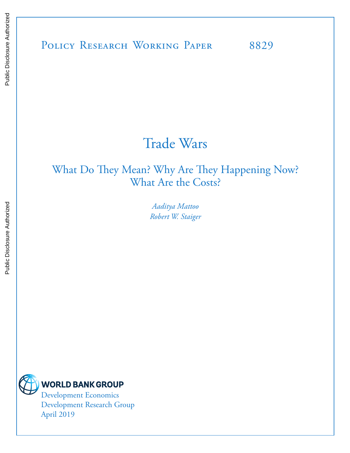### POLICY RESEARCH WORKING PAPER 8829

## Trade Wars

### What Do They Mean? Why Are They Happening Now? What Are the Costs?

*Aaditya Mattoo Robert W. Staiger*



Development Research Group April 2019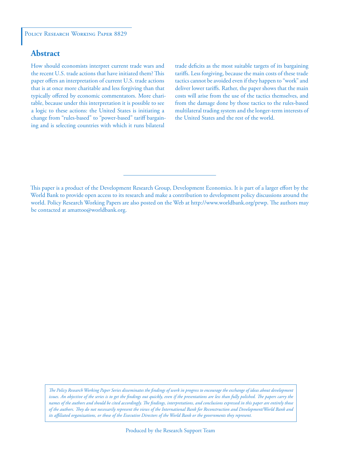#### **Abstract**

How should economists interpret current trade wars and the recent U.S. trade actions that have initiated them? This paper offers an interpretation of current U.S. trade actions that is at once more charitable and less forgiving than that typically offered by economic commentators. More charitable, because under this interpretation it is possible to see a logic to these actions: the United States is initiating a change from "rules-based" to "power-based" tariff bargaining and is selecting countries with which it runs bilateral

trade deficits as the most suitable targets of its bargaining tariffs. Less forgiving, because the main costs of these trade tactics cannot be avoided even if they happen to "work" and deliver lower tariffs. Rather, the paper shows that the main costs will arise from the use of the tactics themselves, and from the damage done by those tactics to the rules-based multilateral trading system and the longer-term interests of the United States and the rest of the world.

This paper is a product of the Development Research Group, Development Economics. It is part of a larger effort by the World Bank to provide open access to its research and make a contribution to development policy discussions around the world. Policy Research Working Papers are also posted on the Web at http://www.worldbank.org/prwp. The authors may be contacted at amattoo@worldbank.org.

*The Policy Research Working Paper Series disseminates the findings of work in progress to encourage the exchange of ideas about development*  issues. An objective of the series is to get the findings out quickly, even if the presentations are less than fully polished. The papers carry the *names of the authors and should be cited accordingly. The findings, interpretations, and conclusions expressed in this paper are entirely those of the authors. They do not necessarily represent the views of the International Bank for Reconstruction and Development/World Bank and its affiliated organizations, or those of the Executive Directors of the World Bank or the governments they represent.*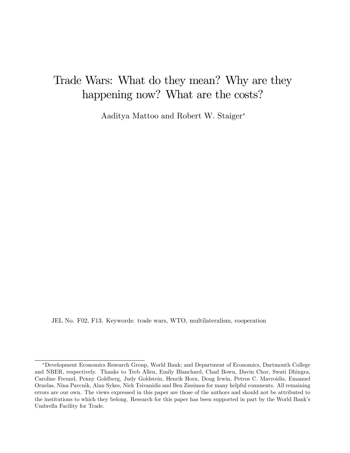## Trade Wars: What do they mean? Why are they happening now? What are the costs?

Aaditya Mattoo and Robert W. Staiger

JEL No. F02, F13. Keywords: trade wars, WTO, multilateralism, cooperation

Development Economics Research Group, World Bank; and Department of Economics, Dartmouth College and NBER, respectively. Thanks to Treb Allen, Emily Blanchard, Chad Bown, Davin Chor, Swati Dhingra, Caroline Freund, Penny Goldberg, Judy Goldstein, Henrik Horn, Doug Irwin, Petros C. Mavroidis, Emanuel Ornelas, Nina Pavcnik, Alan Sykes, Nick Tsivanidis and Ben Zissimos for many helpful comments. All remaining errors are our own. The views expressed in this paper are those of the authors and should not be attributed to the institutions to which they belong. Research for this paper has been supported in part by the World Bank's Umbrella Facility for Trade.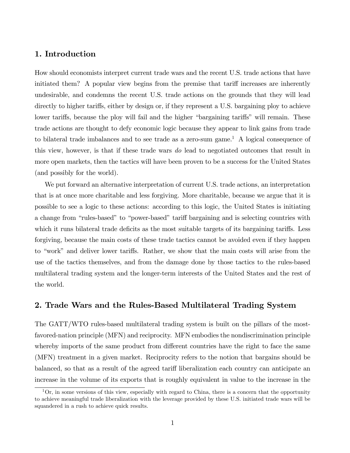#### 1. Introduction

How should economists interpret current trade wars and the recent U.S. trade actions that have initiated them? A popular view begins from the premise that tariff increases are inherently undesirable, and condemns the recent U.S. trade actions on the grounds that they will lead directly to higher tariffs, either by design or, if they represent a U.S. bargaining ploy to achieve lower tariffs, because the ploy will fail and the higher "bargaining tariffs" will remain. These trade actions are thought to defy economic logic because they appear to link gains from trade to bilateral trade imbalances and to see trade as a zero-sum game.<sup>1</sup> A logical consequence of this view, however, is that if these trade wars do lead to negotiated outcomes that result in more open markets, then the tactics will have been proven to be a success for the United States (and possibly for the world).

We put forward an alternative interpretation of current U.S. trade actions, an interpretation that is at once more charitable and less forgiving. More charitable, because we argue that it is possible to see a logic to these actions: according to this logic, the United States is initiating a change from "rules-based" to "power-based" tariff bargaining and is selecting countries with which it runs bilateral trade deficits as the most suitable targets of its bargaining tariffs. Less forgiving, because the main costs of these trade tactics cannot be avoided even if they happen to "work" and deliver lower tariffs. Rather, we show that the main costs will arise from the use of the tactics themselves, and from the damage done by those tactics to the rules-based multilateral trading system and the longer-term interests of the United States and the rest of the world.

#### 2. Trade Wars and the Rules-Based Multilateral Trading System

The GATT/WTO rules-based multilateral trading system is built on the pillars of the mostfavored-nation principle (MFN) and reciprocity. MFN embodies the nondiscrimination principle whereby imports of the same product from different countries have the right to face the same (MFN) treatment in a given market. Reciprocity refers to the notion that bargains should be balanced, so that as a result of the agreed tariff liberalization each country can anticipate an increase in the volume of its exports that is roughly equivalent in value to the increase in the

 $1$ Or, in some versions of this view, especially with regard to China, there is a concern that the opportunity to achieve meaningful trade liberalization with the leverage provided by these U.S. initiated trade wars will be squandered in a rush to achieve quick results.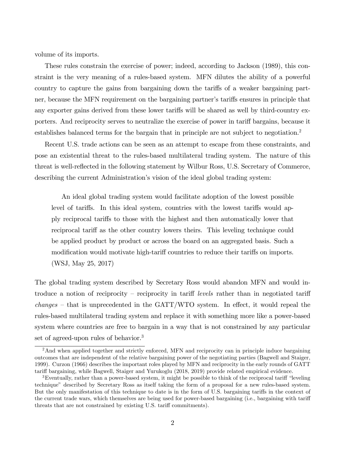volume of its imports.

These rules constrain the exercise of power; indeed, according to Jackson (1989), this constraint is the very meaning of a rules-based system. MFN dilutes the ability of a powerful country to capture the gains from bargaining down the tariffs of a weaker bargaining partner, because the MFN requirement on the bargaining partner's tariffs ensures in principle that any exporter gains derived from these lower tariffs will be shared as well by third-country exporters. And reciprocity serves to neutralize the exercise of power in tariff bargains, because it establishes balanced terms for the bargain that in principle are not subject to negotiation.<sup>2</sup>

Recent U.S. trade actions can be seen as an attempt to escape from these constraints, and pose an existential threat to the rules-based multilateral trading system. The nature of this threat is well-reflected in the following statement by Wilbur Ross, U.S. Secretary of Commerce, describing the current Administration's vision of the ideal global trading system:

An ideal global trading system would facilitate adoption of the lowest possible level of tariffs. In this ideal system, countries with the lowest tariffs would apply reciprocal tari§s to those with the highest and then automatically lower that reciprocal tariff as the other country lowers theirs. This leveling technique could be applied product by product or across the board on an aggregated basis. Such a modification would motivate high-tariff countries to reduce their tariffs on imports. (WSJ, May 25, 2017)

The global trading system described by Secretary Ross would abandon MFN and would introduce a notion of reciprocity – reciprocity in tariff *levels* rather than in negotiated tariff  $changes - that$  is unprecedented in the GATT/WTO system. In effect, it would repeal the rules-based multilateral trading system and replace it with something more like a power-based system where countries are free to bargain in a way that is not constrained by any particular set of agreed-upon rules of behavior.<sup>3</sup>

 $2<sup>2</sup>$ And when applied together and strictly enforced, MFN and reciprocity can in principle induce bargaining outcomes that are independent of the relative bargaining power of the negotiating parties (Bagwell and Staiger, 1999). Curzon (1966) describes the important roles played by MFN and reciprocity in the early rounds of GATT tariff bargaining, while Bagwell, Staiger and Yurukoglu (2018, 2019) provide related empirical evidence.

 $3$ Eventually, rather than a power-based system, it might be possible to think of the reciprocal tariff "leveling" techniqueî described by Secretary Ross as itself taking the form of a proposal for a new rules-based system. But the only manifestation of this technique to date is in the form of U.S. bargaining tariffs in the context of the current trade wars, which themselves are being used for power-based bargaining (i.e., bargaining with tariff threats that are not constrained by existing U.S. tariff commitments).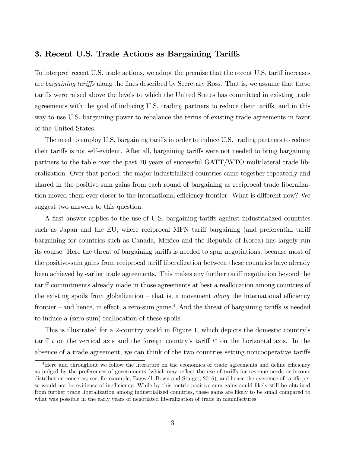#### 3. Recent U.S. Trade Actions as Bargaining Tariffs

To interpret recent U.S. trade actions, we adopt the premise that the recent U.S. tariff increases are bargaining tariffs along the lines described by Secretary Ross. That is, we assume that these tari§s were raised above the levels to which the United States has committed in existing trade agreements with the goal of inducing U.S. trading partners to reduce their tariffs, and in this way to use U.S. bargaining power to rebalance the terms of existing trade agreements in favor of the United States.

The need to employ U.S. bargaining tariffs in order to induce U.S. trading partners to reduce their tariffs is not self-evident. After all, bargaining tariffs were not needed to bring bargaining partners to the table over the past 70 years of successful GATT/WTO multilateral trade liberalization. Over that period, the major industrialized countries came together repeatedly and shared in the positive-sum gains from each round of bargaining as reciprocal trade liberalization moved them ever closer to the international efficiency frontier. What is different now? We suggest two answers to this question.

A first answer applies to the use of U.S. bargaining tariffs against industrialized countries such as Japan and the EU, where reciprocal MFN tariff bargaining (and preferential tariff bargaining for countries such as Canada, Mexico and the Republic of Korea) has largely run its course. Here the threat of bargaining tariffs is needed to spur negotiations, because most of the positive-sum gains from reciprocal tariff liberalization between these countries have already been achieved by earlier trade agreements. This makes any further tariff negotiation beyond the tariff commitments already made in those agreements at best a reallocation among countries of the existing spoils from globalization  $-$  that is, a movement *along* the international efficiency frontier – and hence, in effect, a zero-sum game.<sup>4</sup> And the threat of bargaining tariffs is needed to induce a (zero-sum) reallocation of these spoils.

This is illustrated for a 2-country world in Figure 1, which depicts the domestic countryís tariff t on the vertical axis and the foreign country's tariff  $t^*$  on the horizontal axis. In the absence of a trade agreement, we can think of the two countries setting noncooperative tariffs

 $4$ Here and throughout we follow the literature on the economics of trade agreements and define efficiency as judged by the preferences of governments (which may reflect the use of tariffs for revenue needs or income distribution concerns; see, for example, Bagwell, Bown and Staiger, 2016), and hence the existence of tariffs per se would not be evidence of inefficiency. While by this metric positive sum gains could likely still be obtained from further trade liberalization among industrialized countries, these gains are likely to be small compared to what was possible in the early years of negotiated liberalization of trade in manufactures.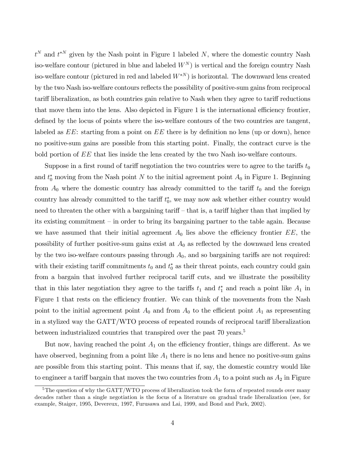$t^N$  and  $t^{*N}$  given by the Nash point in Figure 1 labeled N, where the domestic country Nash iso-welfare contour (pictured in blue and labeled  $W<sup>N</sup>$ ) is vertical and the foreign country Nash iso-welfare contour (pictured in red and labeled  $W^{*N}$ ) is horizontal. The downward lens created by the two Nash iso-welfare contours reflects the possibility of positive-sum gains from reciprocal tariff liberalization, as both countries gain relative to Nash when they agree to tariff reductions that move them into the lens. Also depicted in Figure 1 is the international efficiency frontier, defined by the locus of points where the iso-welfare contours of the two countries are tangent, labeled as  $EE$ : starting from a point on  $EE$  there is by definition no lens (up or down), hence no positive-sum gains are possible from this starting point. Finally, the contract curve is the bold portion of EE that lies inside the lens created by the two Nash iso-welfare contours.

Suppose in a first round of tariff negotiation the two countries were to agree to the tariffs  $t_0$ and  $t_0^*$  moving from the Nash point N to the initial agreement point  $A_0$  in Figure 1. Beginning from  $A_0$  where the domestic country has already committed to the tariff  $t_0$  and the foreign country has already committed to the tariff  $t_0^*$ , we may now ask whether either country would need to threaten the other with a bargaining tariff  $-$  that is, a tariff higher than that implied by its existing commitment – in order to bring its bargaining partner to the table again. Because we have assumed that their initial agreement  $A_0$  lies above the efficiency frontier  $EE$ , the possibility of further positive-sum gains exist at  $A_0$  as reflected by the downward lens created by the two iso-welfare contours passing through  $A_0$ , and so bargaining tariffs are not required: with their existing tariff commitments  $t_0$  and  $t_0^*$  as their threat points, each country could gain from a bargain that involved further reciprocal tariff cuts, and we illustrate the possibility that in this later negotiation they agree to the tariffs  $t_1$  and  $t_1^*$  and reach a point like  $A_1$  in Figure 1 that rests on the efficiency frontier. We can think of the movements from the Nash point to the initial agreement point  $A_0$  and from  $A_0$  to the efficient point  $A_1$  as representing in a stylized way the GATT/WTO process of repeated rounds of reciprocal tariff liberalization between industrialized countries that transpired over the past 70 years.<sup>5</sup>

But now, having reached the point  $A_1$  on the efficiency frontier, things are different. As we have observed, beginning from a point like  $A_1$  there is no lens and hence no positive-sum gains are possible from this starting point. This means that if, say, the domestic country would like to engineer a tariff bargain that moves the two countries from  $A_1$  to a point such as  $A_2$  in Figure

<sup>&</sup>lt;sup>5</sup>The question of why the GATT/WTO process of liberalization took the form of repeated rounds over many decades rather than a single negotiation is the focus of a literature on gradual trade liberalization (see, for example, Staiger, 1995, Devereux, 1997, Furusawa and Lai, 1999, and Bond and Park, 2002).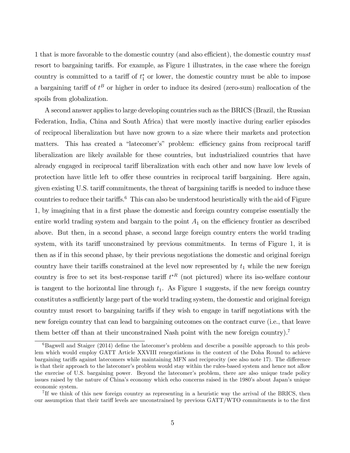1 that is more favorable to the domestic country (and also efficient), the domestic country must resort to bargaining tariffs. For example, as Figure 1 illustrates, in the case where the foreign country is committed to a tariff of  $t_1^*$  or lower, the domestic country must be able to impose a bargaining tariff of  $t^B$  or higher in order to induce its desired (zero-sum) reallocation of the spoils from globalization.

A second answer applies to large developing countries such as the BRICS (Brazil, the Russian Federation, India, China and South Africa) that were mostly inactive during earlier episodes of reciprocal liberalization but have now grown to a size where their markets and protection matters. This has created a "latecomer's" problem: efficiency gains from reciprocal tariff liberalization are likely available for these countries, but industrialized countries that have already engaged in reciprocal tariff liberalization with each other and now have low levels of protection have little left to offer these countries in reciprocal tariff bargaining. Here again, given existing U.S. tariff commitments, the threat of bargaining tariffs is needed to induce these countries to reduce their tariffs.<sup>6</sup> This can also be understood heuristically with the aid of Figure 1, by imagining that in a first phase the domestic and foreign country comprise essentially the entire world trading system and bargain to the point  $A_1$  on the efficiency frontier as described above. But then, in a second phase, a second large foreign country enters the world trading system, with its tariff unconstrained by previous commitments. In terms of Figure 1, it is then as if in this second phase, by their previous negotiations the domestic and original foreign country have their tariffs constrained at the level now represented by  $t_1$  while the new foreign country is free to set its best-response tariff  $t^*$ <sup>R</sup> (not pictured) where its iso-welfare contour is tangent to the horizontal line through  $t_1$ . As Figure 1 suggests, if the new foreign country constitutes a sufficiently large part of the world trading system, the domestic and original foreign country must resort to bargaining tariffs if they wish to engage in tariff negotiations with the new foreign country that can lead to bargaining outcomes on the contract curve (i.e., that leave them better off than at their unconstrained Nash point with the new foreign country).<sup>7</sup>

 $6B$ agwell and Staiger (2014) define the latecomer's problem and describe a possible approach to this problem which would employ GATT Article XXVIII renegotiations in the context of the Doha Round to achieve bargaining tariffs against latecomers while maintaining MFN and reciprocity (see also note 17). The difference is that their approach to the latecomerís problem would stay within the rules-based system and hence not allow the exercise of U.S. bargaining power. Beyond the latecomerís problem, there are also unique trade policy issues raised by the nature of China's economy which echo concerns raised in the 1980's about Japan's unique economic system.

<sup>&</sup>lt;sup>7</sup>If we think of this new foreign country as representing in a heuristic way the arrival of the BRICS, then our assumption that their tariff levels are unconstrained by previous GATT/WTO commitments is to the first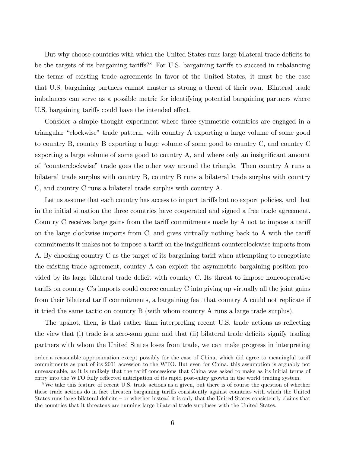But why choose countries with which the United States runs large bilateral trade deficits to be the targets of its bargaining tariffs?<sup>8</sup> For U.S. bargaining tariffs to succeed in rebalancing the terms of existing trade agreements in favor of the United States, it must be the case that U.S. bargaining partners cannot muster as strong a threat of their own. Bilateral trade imbalances can serve as a possible metric for identifying potential bargaining partners where U.S. bargaining tariffs could have the intended effect.

Consider a simple thought experiment where three symmetric countries are engaged in a triangular "clockwise" trade pattern, with country A exporting a large volume of some good to country B, country B exporting a large volume of some good to country C, and country C exporting a large volume of some good to country  $A$ , and where only an insignificant amount of "counterclockwise" trade goes the other way around the triangle. Then country A runs a bilateral trade surplus with country B, country B runs a bilateral trade surplus with country C, and country C runs a bilateral trade surplus with country A.

Let us assume that each country has access to import tariffs but no export policies, and that in the initial situation the three countries have cooperated and signed a free trade agreement. Country C receives large gains from the tariff commitments made by A not to impose a tariff on the large clockwise imports from  $C$ , and gives virtually nothing back to  $A$  with the tariff commitments it makes not to impose a tariff on the insignificant counterclockwise imports from A. By choosing country  $C$  as the target of its bargaining tariff when attempting to renegotiate the existing trade agreement, country A can exploit the asymmetric bargaining position provided by its large bilateral trade deficit with country C. Its threat to impose noncooperative tariffs on country  $\ddot{C}$ 's imports could coerce country  $\ddot{C}$  into giving up virtually all the joint gains from their bilateral tariff commitments, a bargaining feat that country A could not replicate if it tried the same tactic on country B (with whom country A runs a large trade surplus).

The upshot, then, is that rather than interpreting recent U.S. trade actions as reflecting the view that (i) trade is a zero-sum game and that (ii) bilateral trade deficits signify trading partners with whom the United States loses from trade, we can make progress in interpreting

order a reasonable approximation except possibly for the case of China, which did agree to meaningful tariff commitments as part of its 2001 accession to the WTO. But even for China, this assumption is arguably not unreasonable, as it is unlikely that the tariff concessions that China was asked to make as its initial terms of entry into the WTO fully reflected anticipation of its rapid post-entry growth in the world trading system.

<sup>8</sup>We take this feature of recent U.S. trade actions as a given, but there is of course the question of whether these trade actions do in fact threaten bargaining tariffs consistently against countries with which the United States runs large bilateral deficits  $-\sigma r$  whether instead it is only that the United States consistently claims that the countries that it threatens are running large bilateral trade surpluses with the United States.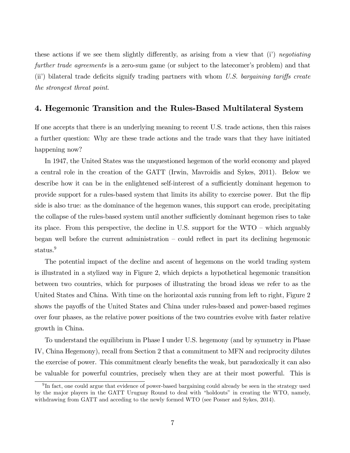these actions if we see them slightly differently, as arising from a view that  $(i)$  negotiating further trade agreements is a zero-sum game (or subject to the latecomer's problem) and that (ii) bilateral trade deficits signify trading partners with whom U.S. bargaining tariffs create the strongest threat point.

#### 4. Hegemonic Transition and the Rules-Based Multilateral System

If one accepts that there is an underlying meaning to recent U.S. trade actions, then this raises a further question: Why are these trade actions and the trade wars that they have initiated happening now?

In 1947, the United States was the unquestioned hegemon of the world economy and played a central role in the creation of the GATT (Irwin, Mavroidis and Sykes, 2011). Below we describe how it can be in the enlightened self-interest of a sufficiently dominant hegemon to provide support for a rules-based system that limits its ability to exercise power. But the flip side is also true: as the dominance of the hegemon wanes, this support can erode, precipitating the collapse of the rules-based system until another sufficiently dominant hegemon rises to take its place. From this perspective, the decline in U.S. support for the  $WTO -$  which arguably began well before the current administration  $-\text{ could reflect in part its declining hegemonic}$ status.<sup>9</sup>

The potential impact of the decline and ascent of hegemons on the world trading system is illustrated in a stylized way in Figure 2, which depicts a hypothetical hegemonic transition between two countries, which for purposes of illustrating the broad ideas we refer to as the United States and China. With time on the horizontal axis running from left to right, Figure 2 shows the payoffs of the United States and China under rules-based and power-based regimes over four phases, as the relative power positions of the two countries evolve with faster relative growth in China.

To understand the equilibrium in Phase I under U.S. hegemony (and by symmetry in Phase IV, China Hegemony), recall from Section 2 that a commitment to MFN and reciprocity dilutes the exercise of power. This commitment clearly benefits the weak, but paradoxically it can also be valuable for powerful countries, precisely when they are at their most powerful. This is

<sup>&</sup>lt;sup>9</sup>In fact, one could argue that evidence of power-based bargaining could already be seen in the strategy used by the major players in the GATT Uruguay Round to deal with "holdouts" in creating the WTO, namely, withdrawing from GATT and acceding to the newly formed WTO (see Posner and Sykes, 2014).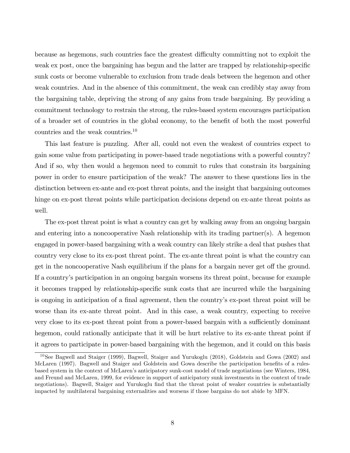because as hegemons, such countries face the greatest difficulty committing not to exploit the weak ex post, once the bargaining has begun and the latter are trapped by relationship-specific sunk costs or become vulnerable to exclusion from trade deals between the hegemon and other weak countries. And in the absence of this commitment, the weak can credibly stay away from the bargaining table, depriving the strong of any gains from trade bargaining. By providing a commitment technology to restrain the strong, the rules-based system encourages participation of a broader set of countries in the global economy, to the benefit of both the most powerful countries and the weak countries.<sup>10</sup>

This last feature is puzzling. After all, could not even the weakest of countries expect to gain some value from participating in power-based trade negotiations with a powerful country? And if so, why then would a hegemon need to commit to rules that constrain its bargaining power in order to ensure participation of the weak? The answer to these questions lies in the distinction between ex-ante and ex-post threat points, and the insight that bargaining outcomes hinge on ex-post threat points while participation decisions depend on ex-ante threat points as well.

The ex-post threat point is what a country can get by walking away from an ongoing bargain and entering into a noncooperative Nash relationship with its trading partner(s). A hegemon engaged in power-based bargaining with a weak country can likely strike a deal that pushes that country very close to its ex-post threat point. The ex-ante threat point is what the country can get in the noncooperative Nash equilibrium if the plans for a bargain never get off the ground. If a countryís participation in an ongoing bargain worsens its threat point, because for example it becomes trapped by relationship-specific sunk costs that are incurred while the bargaining is ongoing in anticipation of a final agreement, then the country's ex-post threat point will be worse than its ex-ante threat point. And in this case, a weak country, expecting to receive very close to its ex-post threat point from a power-based bargain with a sufficiently dominant hegemon, could rationally anticipate that it will be hurt relative to its ex-ante threat point if it agrees to participate in power-based bargaining with the hegemon, and it could on this basis

<sup>10</sup>See Bagwell and Staiger (1999), Bagwell, Staiger and Yurukoglu (2018), Goldstein and Gowa (2002) and McLaren (1997). Bagwell and Staiger and Goldstein and Gowa describe the participation benefits of a rulesbased system in the context of McLarenís anticipatory sunk-cost model of trade negotiations (see Winters, 1984, and Freund and McLaren, 1999, for evidence in support of anticipatory sunk investments in the context of trade negotiations). Bagwell, Staiger and Yurukoglu find that the threat point of weaker countries is substantially impacted by multilateral bargaining externalities and worsens if those bargains do not abide by MFN.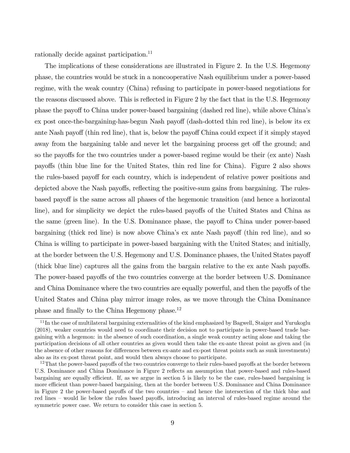rationally decide against participation.<sup>11</sup>

The implications of these considerations are illustrated in Figure 2. In the U.S. Hegemony phase, the countries would be stuck in a noncooperative Nash equilibrium under a power-based regime, with the weak country (China) refusing to participate in power-based negotiations for the reasons discussed above. This is reflected in Figure 2 by the fact that in the U.S. Hegemony phase the payoff to China under power-based bargaining (dashed red line), while above China's ex post once-the-bargaining-has-begun Nash payoff (dash-dotted thin red line), is below its ex ante Nash payoff (thin red line), that is, below the payoff China could expect if it simply stayed away from the bargaining table and never let the bargaining process get off the ground; and so the payoffs for the two countries under a power-based regime would be their (ex ante) Nash payo§s (thin blue line for the United States, thin red line for China). Figure 2 also shows the rules-based payoff for each country, which is independent of relative power positions and depicted above the Nash payoffs, reflecting the positive-sum gains from bargaining. The rulesbased payoff is the same across all phases of the hegemonic transition (and hence a horizontal line), and for simplicity we depict the rules-based payoffs of the United States and China as the same (green line). In the U.S. Dominance phase, the payoff to China under power-based bargaining (thick red line) is now above China's ex ante Nash payoff (thin red line), and so China is willing to participate in power-based bargaining with the United States; and initially, at the border between the U.S. Hegemony and U.S. Dominance phases, the United States payoff (thick blue line) captures all the gains from the bargain relative to the ex ante Nash payoffs. The power-based payoffs of the two countries converge at the border between U.S. Dominance and China Dominance where the two countries are equally powerful, and then the payoffs of the United States and China play mirror image roles, as we move through the China Dominance phase and finally to the China Hegemony phase.<sup>12</sup>

 $11$ In the case of multilateral bargaining externalities of the kind emphasized by Bagwell, Staiger and Yurukoglu (2018), weaker countries would need to coordinate their decision not to participate in power-based trade bargaining with a hegemon: in the absence of such coordination, a single weak country acting alone and taking the participation decisions of all other countries as given would then take the ex-ante threat point as given and (in the absence of other reasons for differences between ex-ante and ex-post threat points such as sunk investments) also as its ex-post threat point, and would then always choose to participate.

 $12$ That the power-based payoffs of the two countries converge to their rules-based payoffs at the border between U.S. Dominance and China Dominance in Figure 2 reflects an assumption that power-based and rules-based bargaining are equally efficient. If, as we argue in section 5 is likely to be the case, rules-based bargaining is more efficient than power-based bargaining, then at the border between U.S. Dominance and China Dominance in Figure 2 the power-based payoffs of the two countries  $-$  and hence the intersection of the thick blue and red lines – would lie below the rules based payoffs, introducing an interval of rules-based regime around the symmetric power case. We return to consider this case in section 5.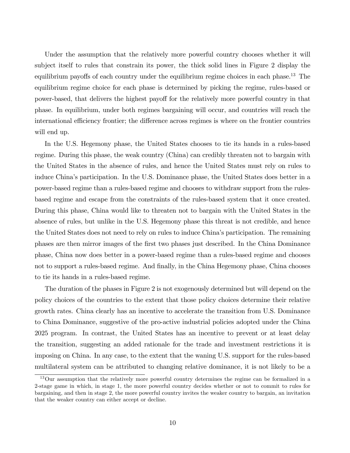Under the assumption that the relatively more powerful country chooses whether it will subject itself to rules that constrain its power, the thick solid lines in Figure 2 display the equilibrium payoffs of each country under the equilibrium regime choices in each phase.<sup>13</sup> The equilibrium regime choice for each phase is determined by picking the regime, rules-based or power-based, that delivers the highest payoff for the relatively more powerful country in that phase. In equilibrium, under both regimes bargaining will occur, and countries will reach the international efficiency frontier; the difference across regimes is where on the frontier countries will end up.

In the U.S. Hegemony phase, the United States chooses to tie its hands in a rules-based regime. During this phase, the weak country (China) can credibly threaten not to bargain with the United States in the absence of rules, and hence the United States must rely on rules to induce Chinaís participation. In the U.S. Dominance phase, the United States does better in a power-based regime than a rules-based regime and chooses to withdraw support from the rulesbased regime and escape from the constraints of the rules-based system that it once created. During this phase, China would like to threaten not to bargain with the United States in the absence of rules, but unlike in the U.S. Hegemony phase this threat is not credible, and hence the United States does not need to rely on rules to induce China's participation. The remaining phases are then mirror images of the Örst two phases just described. In the China Dominance phase, China now does better in a power-based regime than a rules-based regime and chooses not to support a rules-based regime. And finally, in the China Hegemony phase, China chooses to tie its hands in a rules-based regime.

The duration of the phases in Figure 2 is not exogenously determined but will depend on the policy choices of the countries to the extent that those policy choices determine their relative growth rates. China clearly has an incentive to accelerate the transition from U.S. Dominance to China Dominance, suggestive of the pro-active industrial policies adopted under the China 2025 program. In contrast, the United States has an incentive to prevent or at least delay the transition, suggesting an added rationale for the trade and investment restrictions it is imposing on China. In any case, to the extent that the waning U.S. support for the rules-based multilateral system can be attributed to changing relative dominance, it is not likely to be a

<sup>&</sup>lt;sup>13</sup>Our assumption that the relatively more powerful country determines the regime can be formalized in a 2-stage game in which, in stage 1, the more powerful country decides whether or not to commit to rules for bargaining, and then in stage 2, the more powerful country invites the weaker country to bargain, an invitation that the weaker country can either accept or decline.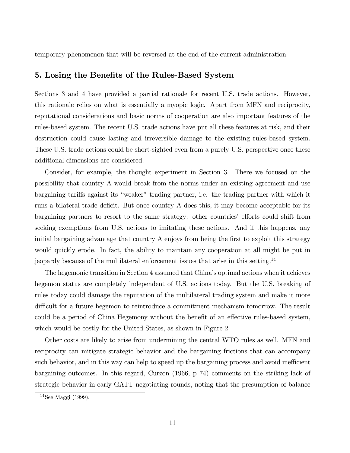temporary phenomenon that will be reversed at the end of the current administration.

#### 5. Losing the Benefits of the Rules-Based System

Sections 3 and 4 have provided a partial rationale for recent U.S. trade actions. However, this rationale relies on what is essentially a myopic logic. Apart from MFN and reciprocity, reputational considerations and basic norms of cooperation are also important features of the rules-based system. The recent U.S. trade actions have put all these features at risk, and their destruction could cause lasting and irreversible damage to the existing rules-based system. These U.S. trade actions could be short-sighted even from a purely U.S. perspective once these additional dimensions are considered.

Consider, for example, the thought experiment in Section 3. There we focused on the possibility that country A would break from the norms under an existing agreement and use bargaining tariffs against its "weaker" trading partner, i.e. the trading partner with which it runs a bilateral trade deficit. But once country A does this, it may become acceptable for its bargaining partners to resort to the same strategy: other countries' efforts could shift from seeking exemptions from U.S. actions to imitating these actions. And if this happens, any initial bargaining advantage that country A enjoys from being the first to exploit this strategy would quickly erode. In fact, the ability to maintain any cooperation at all might be put in jeopardy because of the multilateral enforcement issues that arise in this setting.<sup>14</sup>

The hegemonic transition in Section 4 assumed that China's optimal actions when it achieves hegemon status are completely independent of U.S. actions today. But the U.S. breaking of rules today could damage the reputation of the multilateral trading system and make it more difficult for a future hegemon to reintroduce a commitment mechanism tomorrow. The result could be a period of China Hegemony without the benefit of an effective rules-based system, which would be costly for the United States, as shown in Figure 2.

Other costs are likely to arise from undermining the central WTO rules as well. MFN and reciprocity can mitigate strategic behavior and the bargaining frictions that can accompany such behavior, and in this way can help to speed up the bargaining process and avoid inefficient bargaining outcomes. In this regard, Curzon (1966, p 74) comments on the striking lack of strategic behavior in early GATT negotiating rounds, noting that the presumption of balance

 $14$ See Maggi (1999).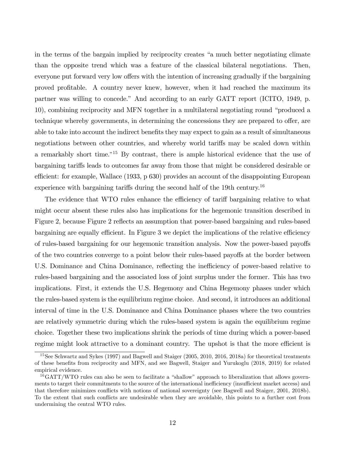in the terms of the bargain implied by reciprocity creates "a much better negotiating climate than the opposite trend which was a feature of the classical bilateral negotiations. Then, everyone put forward very low offers with the intention of increasing gradually if the bargaining proved profitable. A country never knew, however, when it had reached the maximum its partner was willing to concede." And according to an early GATT report (ICITO, 1949, p. 10), combining reciprocity and MFN together in a multilateral negotiating round "produced a technique whereby governments, in determining the concessions they are prepared to offer, are able to take into account the indirect benefits they may expect to gain as a result of simultaneous negotiations between other countries, and whereby world tariffs may be scaled down within a remarkably short time.<sup>"15</sup> By contrast, there is ample historical evidence that the use of bargaining tariffs leads to outcomes far away from those that might be considered desirable or efficient: for example, Wallace  $(1933, p 630)$  provides an account of the disappointing European experience with bargaining tariffs during the second half of the 19th century.<sup>16</sup>

The evidence that WTO rules enhance the efficiency of tariff bargaining relative to what might occur absent these rules also has implications for the hegemonic transition described in Figure 2, because Figure 2 reflects an assumption that power-based bargaining and rules-based bargaining are equally efficient. In Figure 3 we depict the implications of the relative efficiency of rules-based bargaining for our hegemonic transition analysis. Now the power-based payoffs of the two countries converge to a point below their rules-based payoffs at the border between U.S. Dominance and China Dominance, reflecting the inefficiency of power-based relative to rules-based bargaining and the associated loss of joint surplus under the former. This has two implications. First, it extends the U.S. Hegemony and China Hegemony phases under which the rules-based system is the equilibrium regime choice. And second, it introduces an additional interval of time in the U.S. Dominance and China Dominance phases where the two countries are relatively symmetric during which the rules-based system is again the equilibrium regime choice. Together these two implications shrink the periods of time during which a power-based regime might look attractive to a dominant country. The upshot is that the more efficient is

<sup>15</sup>See Schwartz and Sykes (1997) and Bagwell and Staiger (2005, 2010, 2016, 2018a) for theoretical treatments of these benefits from reciprocity and MFN, and see Bagwell, Staiger and Yurukoglu (2018, 2019) for related empirical evidence.

 $^{16}GATT/WTO$  rules can also be seen to facilitate a "shallow" approach to liberalization that allows governments to target their commitments to the source of the international inefficiency (insufficient market access) and that therefore minimizes conflicts with notions of national sovereignty (see Bagwell and Staiger, 2001, 2018b). To the extent that such conflicts are undesirable when they are avoidable, this points to a further cost from undermining the central WTO rules.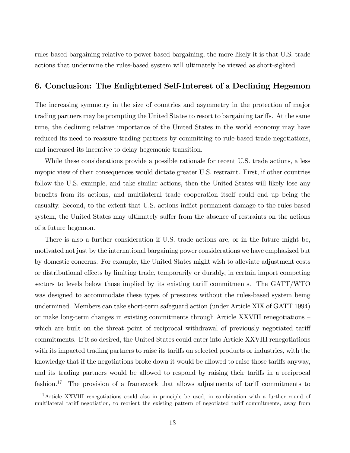rules-based bargaining relative to power-based bargaining, the more likely it is that U.S. trade actions that undermine the rules-based system will ultimately be viewed as short-sighted.

#### 6. Conclusion: The Enlightened Self-Interest of a Declining Hegemon

The increasing symmetry in the size of countries and asymmetry in the protection of major trading partners may be prompting the United States to resort to bargaining tariffs. At the same time, the declining relative importance of the United States in the world economy may have reduced its need to reassure trading partners by committing to rule-based trade negotiations, and increased its incentive to delay hegemonic transition.

While these considerations provide a possible rationale for recent U.S. trade actions, a less myopic view of their consequences would dictate greater U.S. restraint. First, if other countries follow the U.S. example, and take similar actions, then the United States will likely lose any benefits from its actions, and multilateral trade cooperation itself could end up being the casualty. Second, to the extent that U.S. actions ináict permanent damage to the rules-based system, the United States may ultimately suffer from the absence of restraints on the actions of a future hegemon.

There is also a further consideration if U.S. trade actions are, or in the future might be, motivated not just by the international bargaining power considerations we have emphasized but by domestic concerns. For example, the United States might wish to alleviate adjustment costs or distributional effects by limiting trade, temporarily or durably, in certain import competing sectors to levels below those implied by its existing tariff commitments. The GATT/WTO was designed to accommodate these types of pressures without the rules-based system being undermined. Members can take short-term safeguard action (under Article XIX of GATT 1994) or make long-term changes in existing commitments through Article XXVIII renegotiations  $$ which are built on the threat point of reciprocal withdrawal of previously negotiated tariff commitments. If it so desired, the United States could enter into Article XXVIII renegotiations with its impacted trading partners to raise its tariffs on selected products or industries, with the knowledge that if the negotiations broke down it would be allowed to raise those tariffs anyway, and its trading partners would be allowed to respond by raising their tariffs in a reciprocal fashion.<sup>17</sup> The provision of a framework that allows adjustments of tariff commitments to

<sup>17</sup>Article XXVIII renegotiations could also in principle be used, in combination with a further round of multilateral tariff negotiation, to reorient the existing pattern of negotiated tariff commitments, away from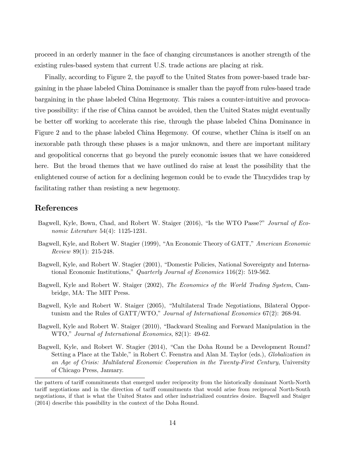proceed in an orderly manner in the face of changing circumstances is another strength of the existing rules-based system that current U.S. trade actions are placing at risk.

Finally, according to Figure 2, the payoff to the United States from power-based trade bargaining in the phase labeled China Dominance is smaller than the payoff from rules-based trade bargaining in the phase labeled China Hegemony. This raises a counter-intuitive and provocative possibility: if the rise of China cannot be avoided, then the United States might eventually be better off working to accelerate this rise, through the phase labeled China Dominance in Figure 2 and to the phase labeled China Hegemony. Of course, whether China is itself on an inexorable path through these phases is a major unknown, and there are important military and geopolitical concerns that go beyond the purely economic issues that we have considered here. But the broad themes that we have outlined do raise at least the possibility that the enlightened course of action for a declining hegemon could be to evade the Thucydides trap by facilitating rather than resisting a new hegemony.

#### References

- Bagwell, Kyle, Bown, Chad, and Robert W. Staiger (2016), "Is the WTO Passe?" Journal of Economic Literature 54(4): 1125-1231.
- Bagwell, Kyle, and Robert W. Stagier (1999), "An Economic Theory of GATT," American Economic Review 89(1): 215-248.
- Bagwell, Kyle, and Robert W. Stagier (2001), "Domestic Policies, National Sovereignty and International Economic Institutions," Quarterly Journal of Economics 116(2): 519-562.
- Bagwell, Kyle and Robert W. Staiger (2002), The Economics of the World Trading System, Cambridge, MA: The MIT Press.
- Bagwell, Kyle and Robert W. Staiger (2005), "Multilateral Trade Negotiations, Bilateral Opportunism and the Rules of  $GATT/WTO$ ," Journal of International Economics 67(2): 268-94.
- Bagwell, Kyle and Robert W. Staiger (2010), "Backward Stealing and Forward Manipulation in the WTO," Journal of International Economics, 82(1): 49-62.
- Bagwell, Kyle, and Robert W. Stagier (2014), "Can the Doha Round be a Development Round? Setting a Place at the Table," in Robert C. Feenstra and Alan M. Taylor (eds.), *Globalization in* an Age of Crisis: Multilateral Economic Cooperation in the Twenty-First Century, University of Chicago Press, January.

the pattern of tariff commitments that emerged under reciprocity from the historically dominant North-North tariff negotiations and in the direction of tariff commitments that would arise from reciprocal North-South negotiations, if that is what the United States and other industrialized countries desire. Bagwell and Staiger (2014) describe this possibility in the context of the Doha Round.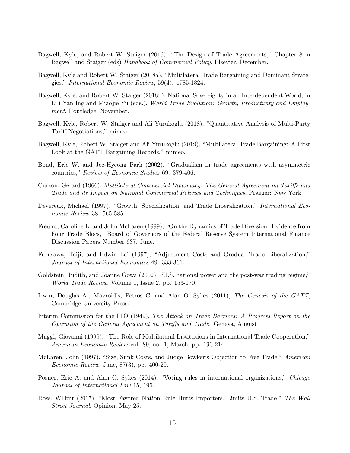- Bagwell, Kyle, and Robert W. Staiger (2016), "The Design of Trade Agreements," Chapter 8 in Bagwell and Staiger (eds) Handbook of Commercial Policy, Elsevier, December.
- Bagwell, Kyle and Robert W. Staiger (2018a), "Multilateral Trade Bargaining and Dominant Strategies," International Economic Review,  $59(4)$ : 1785-1824.
- Bagwell, Kyle, and Robert W. Staiger (2018b), National Sovereignty in an Interdependent World, in Lili Yan Ing and Miaojie Yu (eds.), *World Trade Evolution: Growth, Productivity and Employ*ment, Routledge, November.
- Bagwell, Kyle, Robert W. Staiger and Ali Yurukoglu (2018), "Quantitative Analysis of Multi-Party Tariff Negotiations," mimeo.
- Bagwell, Kyle, Robert W. Staiger and Ali Yurukoglu (2019), "Multilateral Trade Bargaining: A First Look at the GATT Bargaining Records," mimeo.
- Bond, Eric W. and Jee-Hyeong Park (2002), "Gradualism in trade agreements with asymmetric countries," Review of Economic Studies 69: 379-406.
- Curzon, Gerard (1966), Multilateral Commercial Diplomacy: The General Agreement on Tariffs and Trade and its Impact on National Commercial Policies and Techniques, Praeger: New York.
- Devereux, Michael (1997), "Growth, Specialization, and Trade Liberalization," *International Eco*nomic Review 38: 565-585.
- Freund, Caroline L. and John McLaren (1999), "On the Dynamics of Trade Diversion: Evidence from Four Trade Blocs," Board of Governors of the Federal Reserve System International Finance Discussion Papers Number 637, June.
- Furusawa, Taiji, and Edwin Lai (1997), "Adjustment Costs and Gradual Trade Liberalization," Journal of International Economics 49: 333-361.
- Goldstein, Judith, and Joanne Gowa (2002), "U.S. national power and the post-war trading regime," World Trade Review, Volume 1, Issue 2, pp. 153-170.
- Irwin, Douglas A., Mavroidis, Petros C. and Alan O. Sykes (2011), The Genesis of the GATT, Cambridge University Press.
- Interim Commission for the ITO (1949), The Attack on Trade Barriers: A Progress Report on the Operation of the General Agreement on Tariffs and Trade. Geneva, August
- Maggi, Giovanni (1999), "The Role of Multilateral Institutions in International Trade Cooperation," American Economic Review vol. 89, no. 1, March, pp. 190-214.
- McLaren, John (1997), "Size, Sunk Costs, and Judge Bowker's Objection to Free Trade," American Economic Review, June, 87(3), pp. 400-20.
- Posner, Eric A. and Alan O. Sykes (2014), "Voting rules in international organizations," Chicago Journal of International Law 15, 195.
- Ross, Wilbur (2017), "Most Favored Nation Rule Hurts Importers, Limits U.S. Trade," The Wall Street Journal, Opinion, May 25.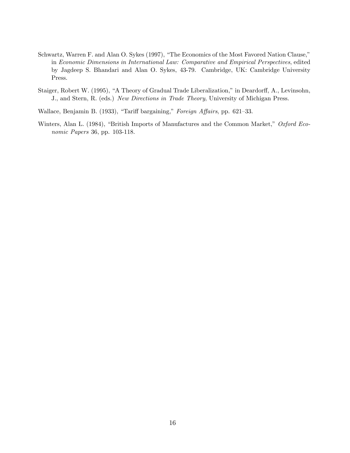- Schwartz, Warren F. and Alan O. Sykes (1997), "The Economics of the Most Favored Nation Clause," in Economic Dimensions in International Law: Comparative and Empirical Perspectives, edited by Jagdeep S. Bhandari and Alan O. Sykes, 43-79. Cambridge, UK: Cambridge University Press.
- Staiger, Robert W. (1995), "A Theory of Gradual Trade Liberalization," in Deardorff, A., Levinsohn, J., and Stern, R. (eds.) New Directions in Trade Theory, University of Michigan Press.

Wallace, Benjamin B. (1933), "Tariff bargaining," Foreign Affairs, pp. 621–33.

Winters, Alan L. (1984), "British Imports of Manufactures and the Common Market," Oxford Economic Papers 36, pp. 103-118.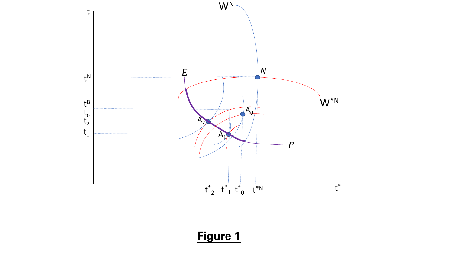

**Figure 1**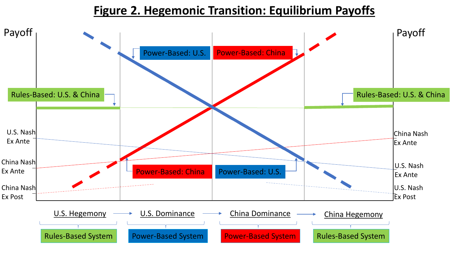# **Figure 2. Hegemonic Transition: Equilibrium Payoffs**